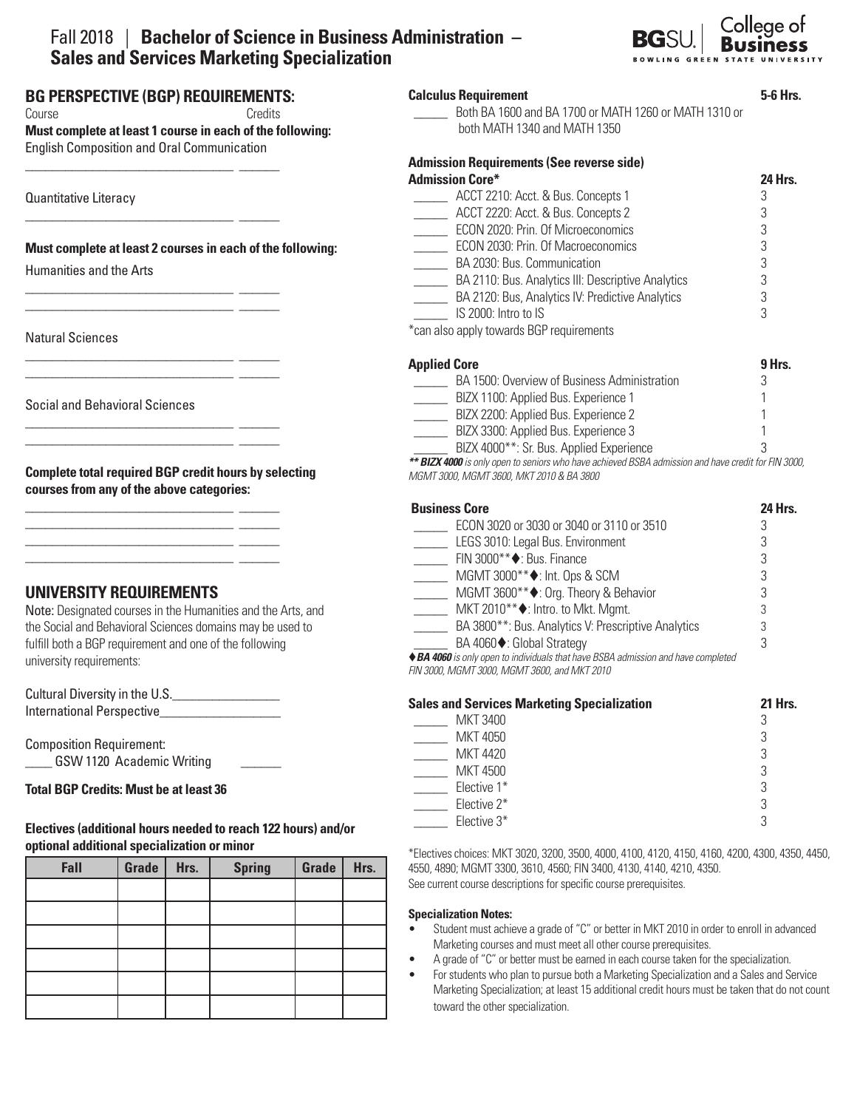# Fall 2018 | **Bachelor of Science in Business Administration – Sales and Services Marketing Specialization**



# **BG PERSPECTIVE (BGP) REQUIREMENTS:**

\_\_\_\_\_\_\_\_\_\_\_\_\_\_\_\_\_\_\_\_\_\_\_\_\_\_\_\_\_\_\_ \_\_\_\_\_\_

\_\_\_\_\_\_\_\_\_\_\_\_\_\_\_\_\_\_\_\_\_\_\_\_\_\_\_\_\_\_\_ \_\_\_\_\_\_

\_\_\_\_\_\_\_\_\_\_\_\_\_\_\_\_\_\_\_\_\_\_\_\_\_\_\_\_\_\_\_ \_\_\_\_\_\_ \_\_\_\_\_\_\_\_\_\_\_\_\_\_\_\_\_\_\_\_\_\_\_\_\_\_\_\_\_\_\_ \_\_\_\_\_\_

\_\_\_\_\_\_\_\_\_\_\_\_\_\_\_\_\_\_\_\_\_\_\_\_\_\_\_\_\_\_\_ \_\_\_\_\_\_ \_\_\_\_\_\_\_\_\_\_\_\_\_\_\_\_\_\_\_\_\_\_\_\_\_\_\_\_\_\_\_ \_\_\_\_\_\_

\_\_\_\_\_\_\_\_\_\_\_\_\_\_\_\_\_\_\_\_\_\_\_\_\_\_\_\_\_\_\_ \_\_\_\_\_\_ \_\_\_\_\_\_\_\_\_\_\_\_\_\_\_\_\_\_\_\_\_\_\_\_\_\_\_\_\_\_\_ \_\_\_\_\_\_

\_\_\_\_\_\_\_\_\_\_\_\_\_\_\_\_\_\_\_\_\_\_\_\_\_\_\_\_\_\_\_ \_\_\_\_\_\_ \_\_\_\_\_\_\_\_\_\_\_\_\_\_\_\_\_\_\_\_\_\_\_\_\_\_\_\_\_\_\_ \_\_\_\_\_\_ \_\_\_\_\_\_\_\_\_\_\_\_\_\_\_\_\_\_\_\_\_\_\_\_\_\_\_\_\_\_\_ \_\_\_\_\_\_ \_\_\_\_\_\_\_\_\_\_\_\_\_\_\_\_\_\_\_\_\_\_\_\_\_\_\_\_\_\_\_ \_\_\_\_\_\_

Course **Course** Credits

**Must complete at least 1 course in each of the following:**  English Composition and Oral Communication

Quantitative Literacy

## **Must complete at least 2 courses in each of the following:**

Humanities and the Arts

Natural Sciences

Social and Behavioral Sciences

**Complete total required BGP credit hours by selecting courses from any of the above categories:**

# **UNIVERSITY REQUIREMENTS**

Note: Designated courses in the Humanities and the Arts, and the Social and Behavioral Sciences domains may be used to fulfill both a BGP requirement and one of the following university requirements:

| Cultural Diversity in the U.S. |  |
|--------------------------------|--|
| International Perspective      |  |

Composition Requirement: \_\_\_\_ GSW 1120 Academic Writing \_\_\_\_\_\_

#### ֦ **Total BGP Credits: Must be at least 36**

## **Electives (additional hours needed to reach 122 hours) and/or optional additional specialization or minor**

| Fall | Grade | Hrs. | <b>Spring</b> | Grade | Hrs. |
|------|-------|------|---------------|-------|------|
|      |       |      |               |       |      |
|      |       |      |               |       |      |
|      |       |      |               |       |      |
|      |       |      |               |       |      |
|      |       |      |               |       |      |
|      |       |      |               |       |      |

| <b>Calculus Requirement</b>                           | 5-6 Hrs        |
|-------------------------------------------------------|----------------|
| Both BA 1600 and BA 1700 or MATH 1260 or MATH 1310 or |                |
| both MATH 1340 and MATH 1350                          |                |
| <b>Admission Requirements (See reverse side)</b>      |                |
| <b>Admission Core*</b>                                | <b>24 Hrs.</b> |
| ACCT 2210: Acct. & Bus. Concepts 1                    | 3              |
| ACCT 2220: Acct. & Bus. Concepts 2                    | 3              |
| ECON 2020: Prin. Of Microeconomics                    | 3              |
| ECON 2030: Prin. Of Macroeconomics                    | 3              |
| BA 2030: Bus. Communication                           | 3              |
| BA 2110: Bus. Analytics III: Descriptive Analytics    | 3              |
| BA 2120: Bus, Analytics IV: Predictive Analytics      | 3              |
| IS 2000: Intro to IS                                  | 3              |
| *can also apply towards BGP requirements              |                |

| <b>Applied Core</b>                          | 9 Hrs. |
|----------------------------------------------|--------|
| BA 1500: Overview of Business Administration |        |
| BIZX 1100: Applied Bus. Experience 1         |        |
| BIZX 2200: Applied Bus. Experience 2         |        |
| BIZX 3300: Applied Bus. Experience 3         |        |
| BIZX 4000**: Sr. Bus. Applied Experience     |        |
|                                              |        |

*\*\* BIZX 4000 is only open to seniors who have achieved BSBA admission and have credit for FIN 3000, MGMT 3000, MGMT 3600, MKT 2010 & BA 3800* 

| <b>Business Core</b>                                                              | <b>24 Hrs.</b> |
|-----------------------------------------------------------------------------------|----------------|
| ECON 3020 or 3030 or 3040 or 3110 or 3510                                         |                |
| LEGS 3010: Legal Bus. Environment                                                 | 3              |
| FIN 3000 <sup>**</sup> ♦: Bus. Finance                                            | 3              |
| MGMT 3000 <sup>**</sup> ♦: Int. Ops & SCM                                         |                |
| MGMT 3600 <sup>**</sup> ♦: Org. Theory & Behavior                                 |                |
| MKT 2010 <sup>**</sup> ♦: Intro. to Mkt. Mgmt.                                    | 3              |
| BA 3800**: Bus. Analytics V: Prescriptive Analytics                               | 3              |
| BA 4060♦: Global Strategy                                                         | 3              |
| ♦ BA 4060 is only open to individuals that have BSBA admission and have completed |                |

*FIN 3000, MGMT 3000, MGMT 3600, and MKT 2010*

| <b>Sales and Services Marketing Specialization</b> | <b>21 Hrs.</b> |
|----------------------------------------------------|----------------|
| <b>MKT 3400</b>                                    |                |
| MKT 4050                                           |                |
| <b>MKT 4420</b>                                    |                |
| <b>MKT 4500</b>                                    | 3              |
| Elective 1*                                        | 3              |
| Elective 2*                                        | ാ              |
| Elective 3*                                        |                |

\*Electives choices: MKT 3020, 3200, 3500, 4000, 4100, 4120, 4150, 4160, 4200, 4300, 4350, 4450, 4550, 4890; MGMT 3300, 3610, 4560; FIN 3400, 4130, 4140, 4210, 4350. See current course descriptions for specific course prerequisites.

#### **Specialization Notes:**

- Student must achieve a grade of "C" or better in MKT 2010 in order to enroll in advanced Marketing courses and must meet all other course prerequisites.
- A grade of "C" or better must be earned in each course taken for the specialization.
- For students who plan to pursue both a Marketing Specialization and a Sales and Service Marketing Specialization; at least 15 additional credit hours must be taken that do not count toward the other specialization.